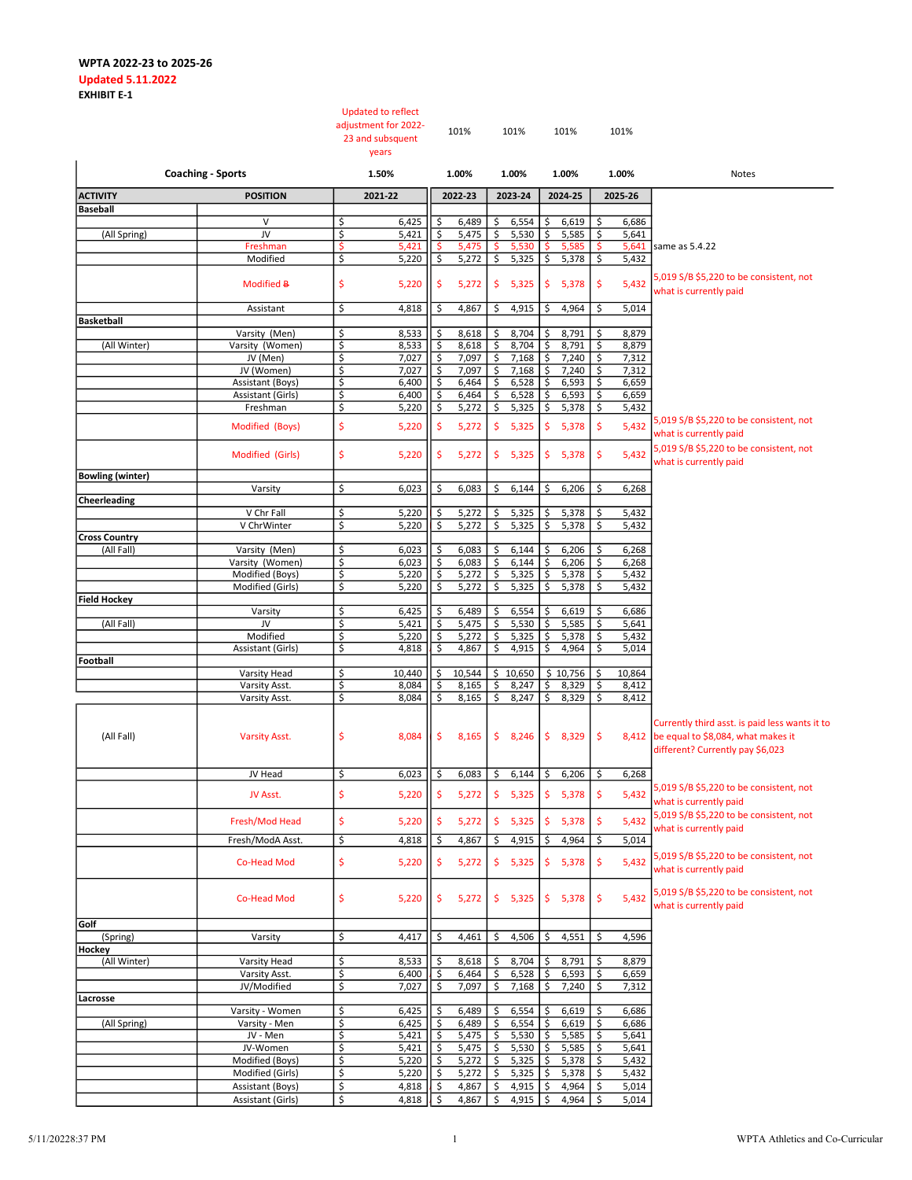| <b>Coaching - Sports</b> |                                    |                                    | <b>Updated to reflect</b><br>adjustment for 2022-<br>23 and subsquent<br>years |                               | 101%           |          | 101%           |                           | 101%           |          | 101%           |                                                                                                                                |
|--------------------------|------------------------------------|------------------------------------|--------------------------------------------------------------------------------|-------------------------------|----------------|----------|----------------|---------------------------|----------------|----------|----------------|--------------------------------------------------------------------------------------------------------------------------------|
|                          |                                    |                                    | 1.50%                                                                          |                               | 1.00%          |          | 1.00%          |                           | 1.00%          | 1.00%    |                | Notes                                                                                                                          |
| <b>ACTIVITY</b>          | <b>POSITION</b>                    |                                    | 2021-22                                                                        |                               | 2022-23        |          | 2023-24        |                           | 2024-25        |          | 2025-26        |                                                                                                                                |
| <b>Baseball</b>          |                                    |                                    |                                                                                |                               |                |          |                |                           |                |          |                |                                                                                                                                |
| (All Spring)             | V<br>JV                            | \$<br>\$                           | 6,425<br>5,421                                                                 | \$<br>\$                      | 6,489<br>5,475 | \$<br>\$ | 6,554<br>5,530 | \$<br>$\ddot{\mathsf{S}}$ | 6,619<br>5,585 | \$<br>\$ | 6,686<br>5,641 |                                                                                                                                |
|                          | Freshman                           | \$                                 | 5,421                                                                          | \$                            | 5,475          | \$       | 5,530          |                           | 5,585          | \$.      | 5,641          | same as 5.4.22                                                                                                                 |
|                          | Modified                           | \$                                 | 5,220                                                                          | \$                            | 5,272          | \$       | 5,325          | $\ddot{\varsigma}$        | 5,378          | \$       | 5,432          |                                                                                                                                |
|                          | Modified B                         | \$                                 | 5,220                                                                          | \$                            | 5,272          | \$       | 5,325          | \$                        | 5,378          | \$       | 5,432          | 5,019 S/B \$5,220 to be consistent, not<br>what is currently paid                                                              |
|                          | Assistant                          | \$                                 | 4,818                                                                          | \$                            | 4,867          | \$       | 4,915          | \$                        | 4,964          | \$       | 5,014          |                                                                                                                                |
| <b>Basketball</b>        |                                    |                                    |                                                                                |                               |                |          |                |                           |                |          |                |                                                                                                                                |
|                          | Varsity (Men)                      | \$                                 | 8,533                                                                          | \$                            | 8,618          | \$       | 8,704          | \$                        | 8,791          | \$       | 8,879          |                                                                                                                                |
| (All Winter)             | Varsity (Women)                    | \$                                 | 8,533                                                                          | \$                            | 8,618          | \$       | 8,704          | \$                        | 8,791          | \$       | 8,879          |                                                                                                                                |
|                          | JV (Men)<br>JV (Women)             | \$<br>\$                           | 7,027<br>7,027                                                                 | \$<br>\$                      | 7,097<br>7,097 | \$<br>\$ | 7,168<br>7,168 | $\zeta$<br>\$             | 7,240<br>7,240 | \$<br>\$ | 7,312<br>7,312 |                                                                                                                                |
|                          | Assistant (Boys)                   | \$                                 | 6,400                                                                          | \$                            | 6,464          | \$       | 6,528          | \$                        | 6,593          | \$       | 6,659          |                                                                                                                                |
|                          | Assistant (Girls)                  | \$                                 | 6,400                                                                          | \$                            | 6,464          | \$       | 6,528          | \$                        | 6,593          | \$       | 6,659          |                                                                                                                                |
|                          | Freshman                           | \$                                 | 5,220                                                                          | \$                            | 5,272          | \$       | 5,325          | \$                        | 5,378          | \$       | 5,432          |                                                                                                                                |
|                          | Modified (Boys)                    | $\ddot{\mathsf{S}}$                | 5,220                                                                          | \$                            | 5,272          | \$       | 5,325          | \$                        | 5,378          | \$       | 5,432          | 5,019 S/B \$5,220 to be consistent, not<br>what is currently paid                                                              |
|                          | Modified (Girls)                   | \$                                 | 5,220                                                                          | \$                            | 5,272          |          | \$5,325        | \$                        | 5,378          | \$       | 5,432          | 5,019 S/B \$5,220 to be consistent, not<br>what is currently paid                                                              |
| <b>Bowling (winter)</b>  |                                    |                                    |                                                                                |                               |                |          |                |                           |                |          |                |                                                                                                                                |
| <b>Cheerleading</b>      | Varsity                            | \$                                 | 6,023                                                                          | \$                            | 6,083          | \$       | 6,144          | \$                        | 6,206          | \$       | 6,268          |                                                                                                                                |
|                          | V Chr Fall                         | \$                                 | 5,220                                                                          | \$                            | 5,272          | \$       | 5,325          | \$                        | 5,378          | \$       | 5,432          |                                                                                                                                |
|                          | V ChrWinter                        | \$                                 | 5,220                                                                          | \$                            | 5,272          | \$       | 5,325          | $\ddot{\mathsf{S}}$       | 5,378          | \$       | 5,432          |                                                                                                                                |
| <b>Cross Country</b>     |                                    |                                    |                                                                                |                               |                |          |                |                           |                |          |                |                                                                                                                                |
| (All Fall)               | Varsity (Men)                      | \$                                 | 6,023                                                                          | \$                            | 6,083          | \$       | 6,144          | \$                        | 6,206          | \$       | 6,268          |                                                                                                                                |
|                          | Varsity (Women)<br>Modified (Boys) | $\zeta$<br>$\overline{\mathsf{S}}$ | 6,023<br>5,220                                                                 | \$<br>$\overline{\mathsf{S}}$ | 6,083<br>5,272 | \$<br>\$ | 6,144<br>5,325 | \$<br>\$                  | 6,206<br>5,378 | \$<br>\$ | 6,268<br>5,432 |                                                                                                                                |
|                          | Modified (Girls)                   | \$                                 | 5,220                                                                          | \$                            | 5,272          | \$       | 5,325          | \$                        | 5,378          | \$       | 5,432          |                                                                                                                                |
| <b>Field Hockey</b>      |                                    |                                    |                                                                                |                               |                |          |                |                           |                |          |                |                                                                                                                                |
|                          | Varsity                            | \$                                 | 6,425                                                                          | \$                            | 6,489          | \$       | 6,554          | \$                        | 6,619          | \$       | 6,686          |                                                                                                                                |
| (All Fall)               | JV                                 | \$                                 | 5,421                                                                          | \$                            | 5,475          | \$       | 5,530          | \$                        | 5,585          | \$       | 5,641          |                                                                                                                                |
|                          | Modified                           | \$                                 | 5,220                                                                          | \$                            | 5,272          | \$       | 5,325          | \$                        | 5,378          | \$       | 5,432          |                                                                                                                                |
| Football                 | Assistant (Girls)                  | \$                                 | 4,818                                                                          | \$                            | 4,867          | \$       | 4,915          | \$                        | 4,964          | \$       | 5,014          |                                                                                                                                |
|                          | Varsity Head                       | \$                                 | 10,440                                                                         | \$                            | 10,544         | \$       | 10,650         |                           | \$10,756       | \$       | 10,864         |                                                                                                                                |
|                          | Varsity Asst.                      | \$                                 | 8,084                                                                          | \$                            | 8,165          | \$       | 8,247          | \$                        | 8,329          | \$       | 8,412          |                                                                                                                                |
|                          | Varsity Asst.                      | \$                                 | 8,084                                                                          | \$                            | 8,165          | \$       | 8,247          | \$                        | 8,329          | \$       | 8,412          |                                                                                                                                |
| (All Fall)               | <b>Varsity Asst.</b>               | \$                                 | 8,084                                                                          | \$.                           | 8,165          | \$       | 8,246          | \$                        | 8,329          | \$       |                | Currently third asst. is paid less wants it to<br>8,412 be equal to \$8,084, what makes it<br>different? Currently pay \$6,023 |
|                          | JV Head                            | Ş                                  | 6,023                                                                          |                               | 6,083          | \$       | 6,144          | \$                        | $6,206$ \$     |          | 6,268          |                                                                                                                                |
|                          | JV Asst.                           | \$                                 | 5,220                                                                          | $\ddot{\mathsf{S}}$           | 5,272          | \$       | 5,325          | \$                        | 5,378          | \$       | 5,432          | 5,019 S/B \$5,220 to be consistent, not<br>what is currently paid<br>5,019 S/B \$5,220 to be consistent, not                   |
|                          | Fresh/Mod Head                     | \$                                 | 5,220                                                                          | \$                            | 5,272          | \$       | 5,325          | \$                        | 5,378          | \$       | 5,432          | what is currently paid                                                                                                         |
|                          | Fresh/ModA Asst.                   | \$                                 | 4,818                                                                          | \$                            | 4,867          | \$       | 4,915          | \$                        | 4,964          | \$       | 5,014          |                                                                                                                                |
|                          | Co-Head Mod                        | \$                                 | 5,220                                                                          | \$                            | 5,272          | \$       | 5,325          | \$                        | 5,378          | \$       | 5,432          | 5,019 S/B \$5,220 to be consistent, not<br>what is currently paid                                                              |
|                          | <b>Co-Head Mod</b>                 | \$                                 | 5,220                                                                          | \$                            | 5,272          | \$       | 5,325          | \$                        | 5,378          | \$       | 5,432          | 5,019 S/B \$5,220 to be consistent, not<br>what is currently paid                                                              |
| Golf                     |                                    |                                    |                                                                                |                               |                |          |                |                           |                |          |                |                                                                                                                                |
| (Spring)<br>Hockey       | Varsity                            | \$                                 | 4,417                                                                          | \$                            | 4,461          | \$       | 4,506          | \$                        | 4,551          | \$       | 4,596          |                                                                                                                                |
| (All Winter)             | Varsity Head                       | \$                                 | 8,533                                                                          | \$                            | 8,618          | \$       | 8,704          | \$                        | 8,791          | \$       | 8,879          |                                                                                                                                |
|                          | Varsity Asst.                      | \$                                 | 6,400                                                                          | \$                            | 6,464          | \$       | 6,528          | \$                        | 6,593          | \$       | 6,659          |                                                                                                                                |
|                          | JV/Modified                        | \$                                 | 7,027                                                                          | $\overline{\mathsf{S}}$       | 7,097          | \$       | 7,168          | \$                        | 7,240          | \$       | 7,312          |                                                                                                                                |
| Lacrosse                 |                                    |                                    |                                                                                |                               |                |          |                |                           |                |          |                |                                                                                                                                |
|                          | Varsity - Women                    | \$<br>\$                           | 6,425                                                                          | \$<br>\$                      | 6,489          | \$<br>\$ | 6,554          | \$<br>\$                  | 6,619          | \$<br>\$ | 6,686          |                                                                                                                                |
| (All Spring)             | Varsity - Men<br>JV - Men          | \$                                 | 6,425<br>5,421                                                                 | \$                            | 6,489<br>5,475 | \$       | 6,554<br>5,530 | \$                        | 6,619<br>5,585 | \$       | 6,686<br>5,641 |                                                                                                                                |
|                          | JV-Women                           | \$                                 | 5,421                                                                          | \$                            | 5,475          | \$       | 5,530          | \$                        | 5,585          | \$       | 5,641          |                                                                                                                                |
|                          | Modified (Boys)                    | \$                                 | 5,220                                                                          | \$                            | 5,272          | \$       | 5,325          | \$                        | 5,378          | \$       | 5,432          |                                                                                                                                |
|                          | Modified (Girls)                   | \$                                 | 5,220                                                                          | \$                            | 5,272          | \$       | 5,325          | \$                        | 5,378          | \$       | 5,432          |                                                                                                                                |
|                          | Assistant (Boys)                   | \$                                 | 4,818                                                                          | \$                            | 4,867          | \$       | 4,915          | \$                        | 4,964          | \$       | 5,014          |                                                                                                                                |
|                          | Assistant (Girls)                  | \$                                 | 4,818                                                                          | \$                            | 4,867          | \$       | 4,915          | \$                        | 4,964          | \$       | 5,014          |                                                                                                                                |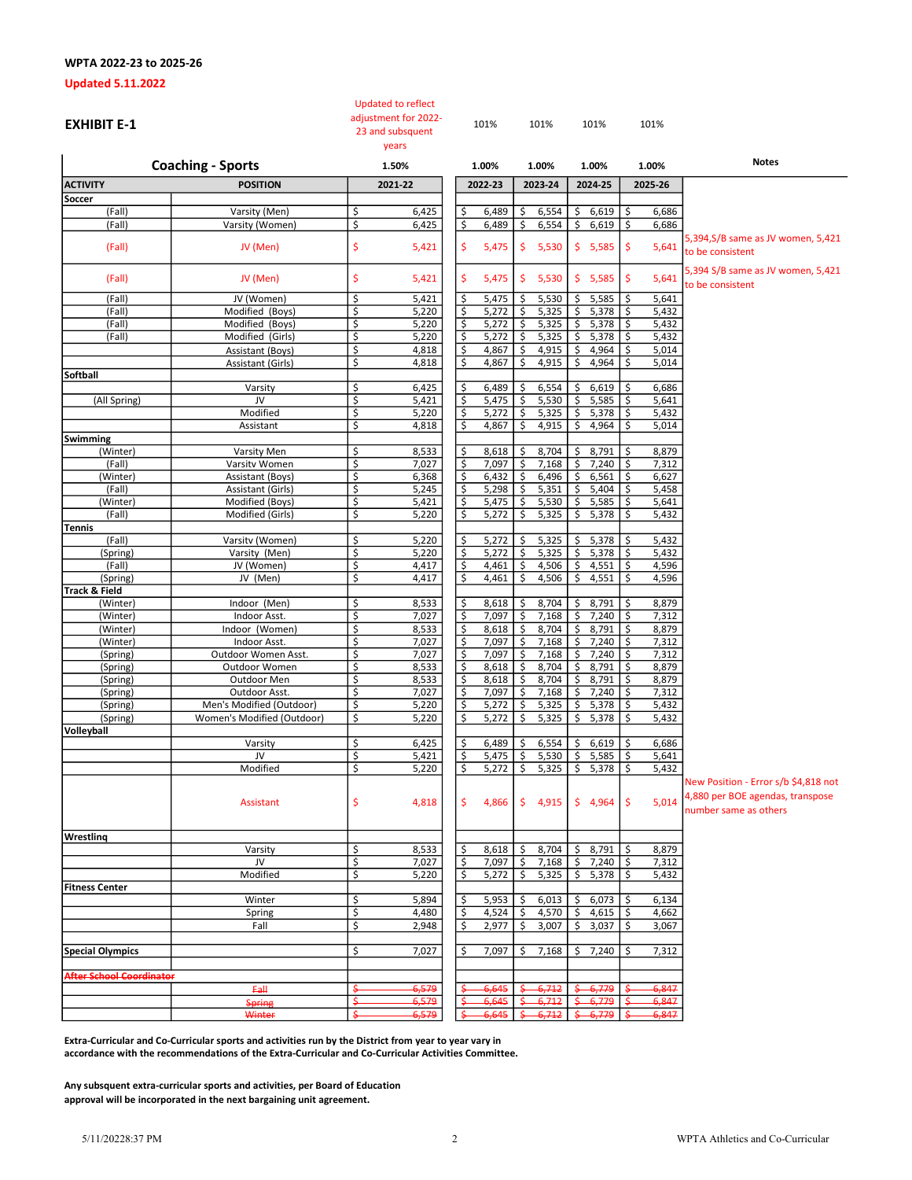## Updated 5.11.2022

| <b>EXHIBIT E-1</b>              |                            | <b>Updated to reflect</b><br>adjustment for 2022-<br>23 and subsquent<br>years |                           | 101%    |              | 101%    | 101%        |               | 101%    |                                                                                                   |
|---------------------------------|----------------------------|--------------------------------------------------------------------------------|---------------------------|---------|--------------|---------|-------------|---------------|---------|---------------------------------------------------------------------------------------------------|
|                                 | <b>Coaching - Sports</b>   | 1.50%                                                                          |                           | 1.00%   |              | 1.00%   | 1.00%       |               | 1.00%   | <b>Notes</b>                                                                                      |
| <b>ACTIVITY</b>                 | <b>POSITION</b>            | 2021-22                                                                        |                           | 2022-23 |              | 2023-24 | 2024-25     |               | 2025-26 |                                                                                                   |
| Soccer                          |                            |                                                                                |                           |         |              |         |             |               |         |                                                                                                   |
| (Fall)                          | Varsity (Men)              | \$<br>6,425                                                                    | \$                        | 6,489   | Ś            | 6,554   | \$<br>6,619 | \$            | 6,686   |                                                                                                   |
| (Fall)                          | Varsity (Women)            | \$<br>6,425                                                                    | \$                        | 6,489   | \$           | 6,554   | \$<br>6,619 | \$            | 6,686   |                                                                                                   |
| (Fall)                          | JV (Men)                   | \$<br>5,421                                                                    | \$                        | 5,475   | \$           | 5,530   | \$5,585     | \$            | 5,641   | 5,394, S/B same as JV women, 5,421<br>to be consistent                                            |
| (Fall)                          | JV (Men)                   | \$<br>5,421                                                                    | \$                        | 5,475   | $\mathsf{S}$ | 5,530   | \$5,585     | $\frac{1}{2}$ | 5,641   | 5,394 S/B same as JV women, 5,421<br>to be consistent                                             |
| (Fall)                          | JV (Women)                 | \$<br>5,421                                                                    | \$                        | 5,475   | \$           | 5,530   | 5,585<br>\$ | \$            | 5,641   |                                                                                                   |
| (Fall)                          | Modified (Boys)            | \$<br>5,220                                                                    | \$                        | 5,272   | Ś            | 5,325   | \$<br>5,378 | \$            | 5,432   |                                                                                                   |
| (Fall)                          | Modified (Boys)            | \$<br>5,220                                                                    | $\mathsf{S}% _{T}$        | 5,272   | \$           | 5,325   | 5,378<br>\$ | \$            | 5,432   |                                                                                                   |
| (Fall)                          | Modified (Girls)           | \$<br>5,220                                                                    | \$                        | 5,272   | \$           | 5,325   | 5,378<br>\$ | \$            | 5,432   |                                                                                                   |
|                                 | Assistant (Boys)           | \$<br>4,818                                                                    | \$                        | 4,867   | \$           | 4,915   | 4,964<br>\$ | \$            | 5,014   |                                                                                                   |
|                                 | Assistant (Girls)          | \$<br>4,818                                                                    | \$                        | 4,867   | Ś            | 4,915   | \$<br>4,964 | \$            | 5,014   |                                                                                                   |
| Softball                        |                            |                                                                                |                           |         |              |         |             |               |         |                                                                                                   |
|                                 | Varsity                    | \$<br>6,425                                                                    | \$                        | 6,489   | \$           | 6,554   | 6,619<br>\$ | \$            | 6,686   |                                                                                                   |
| (All Spring)                    | JV                         | \$<br>5,421                                                                    | \$                        | 5,475   | \$           | 5,530   | 5,585<br>\$ | \$            | 5,641   |                                                                                                   |
|                                 | Modified                   | \$<br>5,220                                                                    | \$                        | 5,272   | \$           | 5,325   | \$<br>5,378 | \$            | 5,432   |                                                                                                   |
|                                 | Assistant                  | \$<br>4,818                                                                    | \$                        | 4,867   | \$           | 4,915   | \$<br>4,964 | \$            | 5,014   |                                                                                                   |
| Swimming                        |                            |                                                                                |                           |         |              |         |             |               |         |                                                                                                   |
| (Winter)                        | Varsity Men                | \$<br>8,533                                                                    | <u>\$</u>                 | 8,618   | Ś            | 8,704   | 8,791<br>\$ | \$,           | 8,879   |                                                                                                   |
| (Fall)                          | Varsitv Women              | \$<br>7,027                                                                    | \$                        | 7,097   | \$           | 7,168   | \$<br>7,240 | \$            | 7,312   |                                                                                                   |
| (Winter)                        | Assistant (Boys)           | \$<br>6,368                                                                    | \$                        | 6,432   | \$           | 6,496   | \$<br>6,561 | \$            | 6,627   |                                                                                                   |
| (Fall)                          | Assistant (Girls)          | \$<br>5,245                                                                    | \$                        | 5,298   | \$           | 5,351   | \$<br>5,404 | \$            | 5,458   |                                                                                                   |
| (Winter)                        | Modified (Boys)            | \$<br>5,421                                                                    | \$                        | 5,475   | \$           | 5,530   | 5,585<br>\$ | \$            | 5,641   |                                                                                                   |
| (Fall)                          | Modified (Girls)           | \$<br>5,220                                                                    | \$                        | 5,272   | \$           | 5,325   | \$<br>5,378 | \$            | 5,432   |                                                                                                   |
| Tennis<br>(Fall)                | Varsitv (Women)            | \$<br>5,220                                                                    | \$                        | 5,272   | \$           | 5,325   | 5,378<br>\$ | \$            | 5,432   |                                                                                                   |
| (Spring)                        | Varsity (Men)              | \$<br>5,220                                                                    | \$                        | 5,272   | \$           | 5,325   | \$<br>5,378 | \$            | 5,432   |                                                                                                   |
| (Fall)                          | JV (Women)                 | \$<br>4,417                                                                    | \$                        | 4,461   | \$           | 4,506   | \$<br>4,551 | \$            | 4,596   |                                                                                                   |
| (Spring)                        | JV (Men)                   | \$<br>4,417                                                                    | $\overline{\xi}$          | 4,461   | \$           | 4,506   | \$<br>4,551 | \$            | 4,596   |                                                                                                   |
| <b>Track &amp; Field</b>        |                            |                                                                                |                           |         |              |         |             |               |         |                                                                                                   |
| (Winter)                        | Indoor (Men)               | \$<br>8,533                                                                    | <u>\$</u>                 | 8,618   | Ś            | 8,704   | 8,791<br>\$ | \$            | 8,879   |                                                                                                   |
| (Winter)                        | Indoor Asst.               | \$<br>7,027                                                                    | \$                        | 7,097   | \$           | 7,168   | \$<br>7,240 | \$            | 7,312   |                                                                                                   |
| (Winter)                        | Indoor (Women)             | \$<br>8,533                                                                    | $\boldsymbol{\mathsf{S}}$ | 8,618   | \$           | 8,704   | \$<br>8,791 | \$            | 8,879   |                                                                                                   |
| (Winter)                        | Indoor Asst.               | \$<br>7,027                                                                    | $\overline{\xi}$          | 7,097   | \$           | 7,168   | \$<br>7,240 | \$            | 7,312   |                                                                                                   |
| (Spring)                        | Outdoor Women Asst.        | \$<br>7,027                                                                    | $\overline{\mathsf{S}}$   | 7,097   | \$           | 7,168   | 7,240<br>\$ | \$            | 7,312   |                                                                                                   |
| (Spring)                        | Outdoor Women              | \$<br>8,533                                                                    | \$                        | 8,618   | \$           | 8,704   | \$<br>8,791 | \$            | 8,879   |                                                                                                   |
| (Spring)                        | Outdoor Men                | \$<br>8,533                                                                    | \$                        | 8,618   | \$           | 8,704   | 8,791<br>\$ | \$            | 8,879   |                                                                                                   |
| (Spring)                        | Outdoor Asst.              | \$<br>7,027                                                                    | \$                        | 7,097   | \$           | 7,168   | \$<br>7,240 | \$            | 7,312   |                                                                                                   |
| (Spring)                        | Men's Modified (Outdoor)   | \$<br>5,220                                                                    | \$                        | 5,272   | \$           | 5,325   | \$<br>5,378 | \$            | 5,432   |                                                                                                   |
| (Spring)                        | Women's Modified (Outdoor) | \$<br>5,220                                                                    | \$                        | 5,272   | \$           | 5,325   | \$<br>5,378 | \$            | 5,432   |                                                                                                   |
| Volleyball                      |                            |                                                                                |                           |         |              |         |             |               |         |                                                                                                   |
|                                 | Varsity                    | \$<br>6,425                                                                    | \$                        | 6,489   | \$           | 6,554   | \$<br>6,619 | \$            | 6,686   |                                                                                                   |
|                                 | JV                         | \$<br>5,421                                                                    | \$                        | 5,475   | \$           | 5,530   | \$<br>5,585 | \$            | 5,641   |                                                                                                   |
|                                 | Modified                   | \$<br>5,220                                                                    | \$                        | 5,272   | \$           | 5,325   | \$5,378     | \$            | 5,432   |                                                                                                   |
|                                 | Assistant                  | \$<br>4,818                                                                    | \$                        | 4,866   | \$.          | 4,915   | \$4,964     | $\frac{1}{2}$ | 5,014   | New Position - Error s/b \$4,818 not<br>4,880 per BOE agendas, transpose<br>number same as others |
| Wrestling                       |                            |                                                                                |                           |         |              |         |             |               |         |                                                                                                   |
|                                 | Varsity                    | \$<br>8,533                                                                    | \$                        | 8,618   | \$           | 8,704   | 8,791<br>\$ | \$            | 8,879   |                                                                                                   |
|                                 | JV                         | \$<br>7,027                                                                    | \$                        | 7,097   | \$           | 7,168   | 7,240<br>\$ | \$            | 7,312   |                                                                                                   |
|                                 | Modified                   | \$<br>5,220                                                                    | \$                        | 5,272   | \$           | 5,325   | \$<br>5,378 | \$            | 5,432   |                                                                                                   |
| <b>Fitness Center</b>           |                            |                                                                                |                           |         |              |         |             |               |         |                                                                                                   |
|                                 | Winter                     | \$<br>5,894                                                                    | \$                        | 5,953   | Ś            | 6,013   | \$<br>6,073 | \$            | 6,134   |                                                                                                   |
|                                 | Spring                     | \$<br>4,480                                                                    | \$                        | 4,524   | \$           | 4,570   | \$<br>4,615 | \$            | 4,662   |                                                                                                   |
|                                 | Fall                       | \$<br>2,948                                                                    | \$                        | 2,977   | \$           | 3,007   | 3,037<br>\$ | \$            | 3,067   |                                                                                                   |
| <b>Special Olympics</b>         |                            | \$<br>7,027                                                                    | \$                        | 7,097   | \$           | 7,168   | 7,240<br>\$ | \$.           | 7,312   |                                                                                                   |
| <b>After School Coordinator</b> |                            |                                                                                |                           |         |              |         |             |               |         |                                                                                                   |
|                                 | Fall                       | <del>5,579</del>                                                               |                           | 6,645   |              | 6,712   | 6,779       |               | 6,847   |                                                                                                   |
|                                 | <b>Spring</b>              | 6,579                                                                          |                           | 6,645   |              | 6,71    | 6,779       |               | 6,847   |                                                                                                   |
|                                 | Winter                     | 6,579                                                                          |                           | 6,645   |              | 6,712   | 6,779       |               | 6,847   |                                                                                                   |
|                                 |                            |                                                                                |                           |         |              |         |             |               |         |                                                                                                   |

Extra-Curricular and Co-Curricular sports and activities run by the District from year to year vary in accordance with the recommendations of the Extra-Curricular and Co-Curricular Activities Committee.

Any subsquent extra-curricular sports and activities, per Board of Education approval will be incorporated in the next bargaining unit agreement.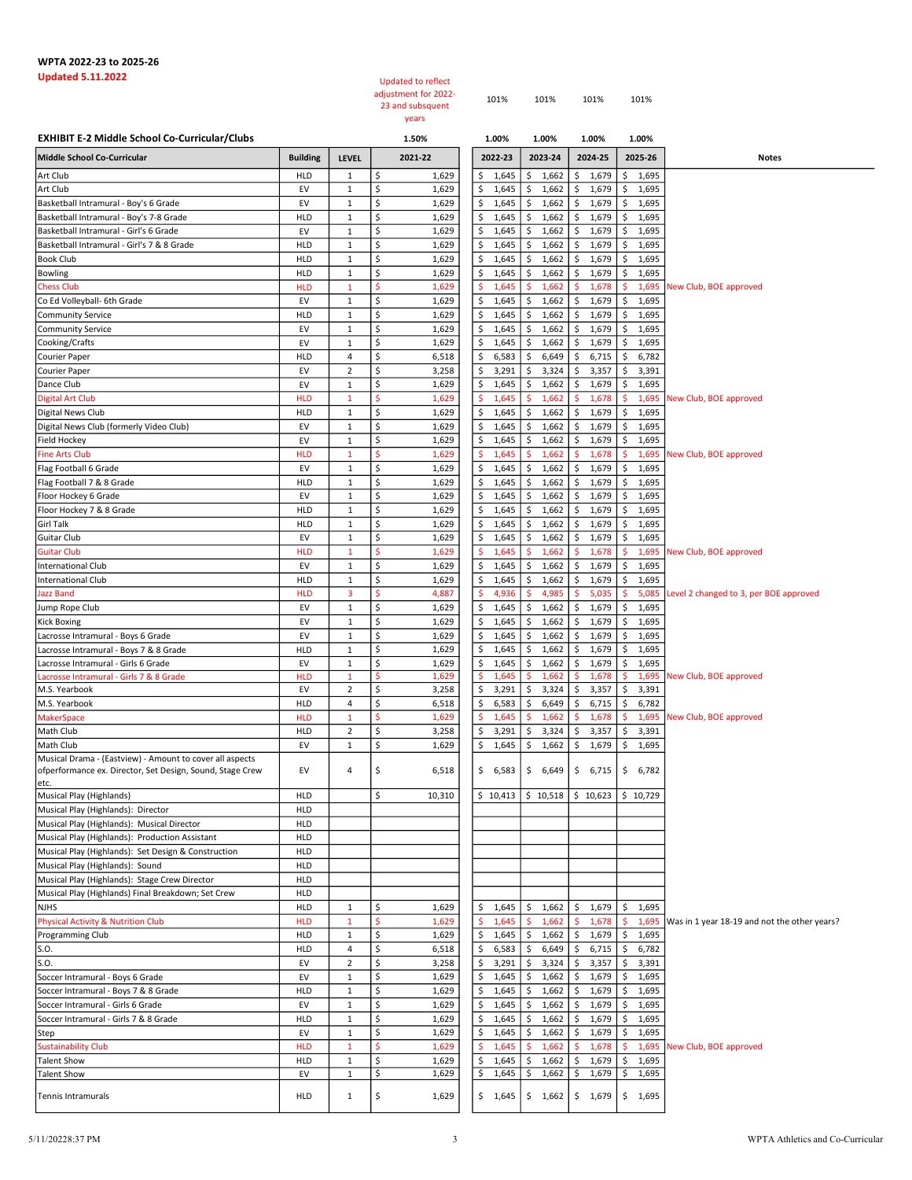## WPTA 2022-23 to 2025-26<br>Updated 5.11.2022

## Updated to reflect adjustment for 2022-

| adiustment for 2022- | 101% | 101% | 101% | 101% |
|----------------------|------|------|------|------|
| 23 and subsquent     |      |      |      |      |
| years                |      |      |      |      |

| <b>EXHIBIT E-2 Middle School Co-Curricular/Clubs</b>                                                                  |                   | 1.50%                       |          | 1.00%          | 1.00%               | 1.00%                                   |                      |                      |                                              |
|-----------------------------------------------------------------------------------------------------------------------|-------------------|-----------------------------|----------|----------------|---------------------|-----------------------------------------|----------------------|----------------------|----------------------------------------------|
| Middle School Co-Curricular                                                                                           | <b>Building</b>   | LEVEL                       |          | 2021-22        | 2022-23             | 2023-24                                 | 2024-25              | 2025-26              | Notes                                        |
| Art Club                                                                                                              | HLD               | $\mathbf{1}$                | \$       | 1,629          | 1,645<br>Ś          | 1,662<br>Ś                              | \$<br>1,679          | \$<br>1,695          |                                              |
| Art Club                                                                                                              | EV                | $\mathbf{1}$                | \$       | 1,629          | Ś<br>1,645          | Ś<br>1,662                              | \$<br>1,679          | \$<br>1,695          |                                              |
| Basketball Intramural - Boy's 6 Grade                                                                                 | EV                | $\mathbf{1}$                | \$       | 1,629          | Ś<br>1,645          | 1,662<br>Ś                              | \$<br>1,679          | \$<br>1,695          |                                              |
| Basketball Intramural - Boy's 7-8 Grade                                                                               | HLD               | $\mathbf{1}$                | \$       | 1,629          | \$<br>1,645         | 1,662<br>\$                             | 1,679<br>\$          | \$<br>1,695          |                                              |
| Basketball Intramural - Girl's 6 Grade                                                                                | EV                | $\mathbf{1}$                | \$       | 1,629          | 1,645<br>\$         | 1,662<br>\$                             | 1,679<br>\$          | 1,695<br>\$          |                                              |
| Basketball Intramural - Girl's 7 & 8 Grade                                                                            | HLD               | $\mathbf{1}$                | \$       | 1,629          | Ś<br>1,645          | \$<br>1,662                             | \$<br>1,679          | \$<br>1,695          |                                              |
| <b>Book Club</b>                                                                                                      | HLD               | $\mathbf{1}$                | \$       | 1,629          | \$<br>1,645         | \$<br>1,662                             | \$<br>1,679          | \$<br>1,695          |                                              |
| <b>Bowling</b>                                                                                                        | HLD               | $\mathbf{1}$                | \$       | 1,629          | Ś<br>1,645          | \$<br>1,662                             | \$<br>1,679          | \$<br>1,695          |                                              |
| <b>Chess Club</b>                                                                                                     | <b>HLD</b>        | $\mathbf{1}$                | -Ś       | 1,629          | \$<br>1,645         | 1,662<br>Ś                              | \$.<br>1,678         | \$<br>1,695          | New Club, BOE approved                       |
| Co Ed Volleyball- 6th Grade                                                                                           | EV                | $\mathbf{1}$                | \$       | 1,629          | 1,645<br>Ś          | 1,662<br>Ś                              | 1,679<br>\$          | \$<br>1,695          |                                              |
| <b>Community Service</b>                                                                                              | HLD               | $\mathbf{1}$                | \$       | 1,629          | Ś<br>1,645          | 1,662<br>Ś                              | \$<br>1,679          | \$<br>1,695          |                                              |
| <b>Community Service</b>                                                                                              | EV                | $\mathbf{1}$                | \$       | 1,629          | Ś<br>1,645          | 1,662<br>\$                             | \$<br>1,679          | \$<br>1,695          |                                              |
| Cooking/Crafts                                                                                                        | EV                | $\mathbf{1}$                | \$       | 1,629          | \$<br>1,645         | 1,662<br>\$                             | \$<br>1,679          | \$<br>1,695          |                                              |
| Courier Paper                                                                                                         | HLD               | $\overline{4}$              | \$       | 6,518          | 6,583<br>\$         | 6,649<br>\$                             | 6,715<br>\$          | \$<br>6,782          |                                              |
| Courier Paper                                                                                                         | EV                | $\overline{2}$              | \$       | 3,258          | \$<br>3,291         | \$<br>3,324                             | \$<br>3,357          | \$<br>3,391          |                                              |
| Dance Club                                                                                                            | EV                | $\mathbf{1}$                | \$       | 1,629          | \$<br>1,645         | \$<br>1,662                             | \$<br>1,679          | \$<br>1,695          |                                              |
| <b>Digital Art Club</b>                                                                                               | <b>HLD</b>        | $\mathbf{1}$                | \$       | 1,629          | Ś<br>1,645          | 1,662<br>Ś                              | \$<br>1,678          | \$<br>1,695          | New Club, BOE approved                       |
| Digital News Club                                                                                                     | HLD               | $\mathbf{1}$                | \$       | 1,629          | \$<br>1,645         | Ś<br>1,662                              | \$<br>1,679          | \$<br>1,695          |                                              |
| Digital News Club (formerly Video Club)                                                                               | EV                | $\mathbf{1}$                | \$<br>\$ | 1,629          | Ś<br>1,645<br>Ś     | 1,662<br>Ś                              | \$<br>1,679          | \$<br>1,695          |                                              |
| Field Hockey                                                                                                          | EV                | $\mathbf{1}$                | \$       | 1,629          | 1,645               | 1,662<br>Ś                              | \$<br>1,679          | \$<br>1,695          |                                              |
| <b>Fine Arts Club</b>                                                                                                 | <b>HLD</b>        | $\mathbf{1}$                | \$       | 1,629          | 1,645<br>s<br>Ś     | 1,662<br>Ś                              | \$.<br>1,678         | \$<br>1,695          | New Club, BOE approved                       |
| Flag Football 6 Grade                                                                                                 | EV                | $\mathbf 1$<br>$\mathbf{1}$ | \$       | 1,629          | 1,645<br>\$         | \$<br>1,662                             | \$<br>1,679<br>\$    | \$<br>1,695          |                                              |
| Flag Football 7 & 8 Grade                                                                                             | <b>HLD</b><br>EV  | $\mathbf 1$                 | \$       | 1,629<br>1,629 | 1,645<br>Ś<br>1,645 | \$<br>1,662<br>\$<br>1,662              | 1,679<br>\$<br>1,679 | \$<br>1,695<br>\$    |                                              |
| Floor Hockey 6 Grade<br>Floor Hockey 7 & 8 Grade                                                                      | <b>HLD</b>        | $\mathbf 1$                 | \$       |                | \$<br>1,645         | \$<br>1,662                             | \$                   | 1,695<br>\$<br>1,695 |                                              |
| <b>Girl Talk</b>                                                                                                      | <b>HLD</b>        | $\mathbf 1$                 | \$       | 1,629<br>1,629 | Ś<br>1,645          | 1,662<br>Ś                              | 1,679<br>\$<br>1,679 | \$<br>1,695          |                                              |
| Guitar Club                                                                                                           | EV                | $\mathbf 1$                 | \$       | 1,629          | Ś<br>1,645          | Ś<br>1,662                              | \$<br>1,679          | \$<br>1,695          |                                              |
| <b>Guitar Club</b>                                                                                                    | <b>HLD</b>        | $\mathbf{1}$                | Ś        | 1,629          | 1,645               | 1,662                                   | 1,678<br>Ś           | \$                   | 1,695 New Club, BOE approved                 |
| <b>International Club</b>                                                                                             | EV                | $\mathbf{1}$                | \$       | 1,629          | \$<br>1,645         | \$<br>1,662                             | \$1,679              | \$<br>1,695          |                                              |
| International Club                                                                                                    | <b>HLD</b>        | $\mathbf{1}$                | \$       | 1,629          | 1,645<br>\$         | 1,662<br>\$                             | 1,679<br>\$          | \$<br>1,695          |                                              |
| Jazz Band                                                                                                             | <b>HLD</b>        | $\overline{\mathbf{3}}$     | \$       | 4,887          | \$<br>4,936         | \$<br>4,985                             | \$.<br>5,035         | Ŝ.<br>5,085          | Level 2 changed to 3, per BOE approved       |
| Jump Rope Club                                                                                                        | EV                | $\mathbf 1$                 | \$       | 1,629          | \$<br>1,645         | \$<br>1,662                             | \$<br>1,679          | \$<br>1,695          |                                              |
| <b>Kick Boxing</b>                                                                                                    | EV                | $\mathbf{1}$                | \$       | 1,629          | Ś<br>1,645          | \$<br>1,662                             | \$<br>1,679          | \$<br>1,695          |                                              |
| Lacrosse Intramural - Boys 6 Grade                                                                                    | EV                | $\mathbf 1$                 | \$       | 1,629          | \$<br>1,645         | 1,662<br>\$                             | \$<br>1,679          | \$<br>1,695          |                                              |
| Lacrosse Intramural - Boys 7 & 8 Grade                                                                                | <b>HLD</b>        | $\mathbf{1}$                | \$       | 1,629          | 1,645<br>Ś          | 1,662<br>Ś                              | \$<br>1,679          | \$<br>1,695          |                                              |
| Lacrosse Intramural - Girls 6 Grade                                                                                   | EV                | $\mathbf{1}$                | \$       | 1,629          | \$<br>1,645         | Ś<br>1,662                              | 1,679<br>\$          | \$<br>1,695          |                                              |
| acrosse Intramural - Girls 7 & 8 Grade.                                                                               | <b>HLD</b>        | $\mathbf{1}$                | Š.       | 1,629          | 1,645               | 1,662                                   | 1,678                | Ś                    | 1,695 New Club, BOE approved                 |
| M.S. Yearbook                                                                                                         | EV                | $\overline{2}$              | \$       | 3,258          | \$<br>3,291         | 3,324<br>Ś                              | 3,357<br>\$          | \$<br>3,391          |                                              |
| M.S. Yearbook                                                                                                         | HLD               | 4                           | \$       | 6,518          | Ś<br>6,583          | Ś<br>6,649                              | \$<br>6,715          | \$<br>6,782          |                                              |
| <b>MakerSpace</b>                                                                                                     | <b>HLD</b>        | $\mathbf{1}$                | Ś        | 1,629          | Ś<br>1,645          | 1,662                                   | 1,678                | \$<br>1,695          | New Club, BOE approved                       |
| Math Club                                                                                                             | <b>HLD</b>        | $\overline{2}$              | \$       | 3,258          | 3,291<br>\$         | 3,324<br>\$                             | \$<br>3,357          | \$<br>3,391          |                                              |
| Math Club                                                                                                             | EV                | $\mathbf{1}$                | \$       | 1,629          | Ś<br>1,645          | 1,662<br>\$                             | \$<br>1,679          | \$<br>1,695          |                                              |
| Musical Drama - (Eastview) - Amount to cover all aspects<br>ofperformance ex. Director, Set Design, Sound, Stage Crew | EV                | 4                           | \$       | 6,518          | \$6,583             | \$6,649                                 | \$6,715              | \$<br>6,782          |                                              |
| etc.                                                                                                                  |                   |                             |          |                |                     |                                         |                      |                      |                                              |
| Musical Play (Highlands)<br>Musical Play (Highlands): Director                                                        | HLD<br><b>HLD</b> |                             | \$.      | 10,310         |                     | $$10,413$ $$10,518$ $$10,623$ $$10,729$ |                      |                      |                                              |
| Musical Play (Highlands): Musical Director                                                                            | <b>HLD</b>        |                             |          |                |                     |                                         |                      |                      |                                              |
| Musical Play (Highlands): Production Assistant                                                                        | HLD               |                             |          |                |                     |                                         |                      |                      |                                              |
| Musical Play (Highlands): Set Design & Construction                                                                   | <b>HLD</b>        |                             |          |                |                     |                                         |                      |                      |                                              |
| Musical Play (Highlands): Sound                                                                                       | HLD               |                             |          |                |                     |                                         |                      |                      |                                              |
| Musical Play (Highlands): Stage Crew Director                                                                         | <b>HLD</b>        |                             |          |                |                     |                                         |                      |                      |                                              |
| Musical Play (Highlands) Final Breakdown; Set Crew                                                                    | <b>HLD</b>        |                             |          |                |                     |                                         |                      |                      |                                              |
| <b>NJHS</b>                                                                                                           | <b>HLD</b>        | $\mathbf 1$                 | \$       | 1,629          | 1,645<br>\$         | \$<br>1,662                             | \$1,679              | \$<br>1,695          |                                              |
| <b>Physical Activity &amp; Nutrition Club</b>                                                                         | <b>HLD</b>        | $\mathbf{1}$                | -Ś       | 1,629          | \$<br>1,645         | 1,662<br>\$.                            | \$.<br>1,678         | -\$<br>1,695         | Was in 1 year 18-19 and not the other years? |
| Programming Club                                                                                                      | <b>HLD</b>        | $\mathbf{1}$                | \$       | 1,629          | \$<br>1,645         | \$<br>1,662                             | \$1,679              | \$<br>1,695          |                                              |
| S.O.                                                                                                                  | <b>HLD</b>        | 4                           | \$       | 6,518          | \$<br>6,583         | 6,649<br>\$                             | \$<br>6,715          | \$<br>6,782          |                                              |
| S.O.                                                                                                                  | EV                | $\overline{2}$              | \$       | 3,258          | \$<br>3,291         | 3,324<br>\$                             | \$<br>3,357          | \$<br>3,391          |                                              |
| Soccer Intramural - Boys 6 Grade                                                                                      | EV                | $\mathbf{1}$                | \$       | 1,629          | \$<br>1,645         | \$<br>1,662                             | \$1,679              | \$<br>1,695          |                                              |
| Soccer Intramural - Boys 7 & 8 Grade                                                                                  | <b>HLD</b>        | $\mathbf{1}$                | \$       | 1,629          | 1,645<br>\$         | 1,662<br>\$                             | \$1,679              | 1,695<br>\$          |                                              |
| Soccer Intramural - Girls 6 Grade                                                                                     | EV                | $\mathbf{1}$                | \$       | 1,629          | \$<br>1,645         | \$<br>1,662                             | \$1,679              | \$<br>1,695          |                                              |
| Soccer Intramural - Girls 7 & 8 Grade                                                                                 | HLD               | $\mathbf{1}$                | \$       | 1,629          | \$<br>1,645         | \$<br>1,662                             | \$<br>1,679          | \$<br>1,695          |                                              |
| Step                                                                                                                  | EV                | $\mathbf{1}$                | \$       | 1,629          | Ś<br>1,645          | \$<br>1,662                             | \$1,679              | \$<br>1,695          |                                              |
| <b>Sustainability Club</b>                                                                                            | <b>HLD</b>        | $\mathbf{1}$                | <b>S</b> | 1,629          | \$<br>1,645         | 1,662<br>\$                             | \$.<br>1,678         | \$<br>1,695          | New Club, BOE approved                       |
| <b>Talent Show</b>                                                                                                    | <b>HLD</b>        | $\mathbf 1$                 | \$       | 1,629          | Ś<br>1,645          | 1,662<br>\$                             | \$<br>1,679          | \$<br>1,695          |                                              |
| <b>Talent Show</b>                                                                                                    | EV                | $\mathbf{1}$                | \$       | 1,629          | \$<br>1,645         | 1,662<br>\$                             | \$<br>1,679          | \$<br>1,695          |                                              |
| Tennis Intramurals                                                                                                    | HLD               | $\mathbf{1}$                | \$       | 1,629          | \$1,645             |                                         | $$1,662$   \$ 1,679  | \$1,695              |                                              |